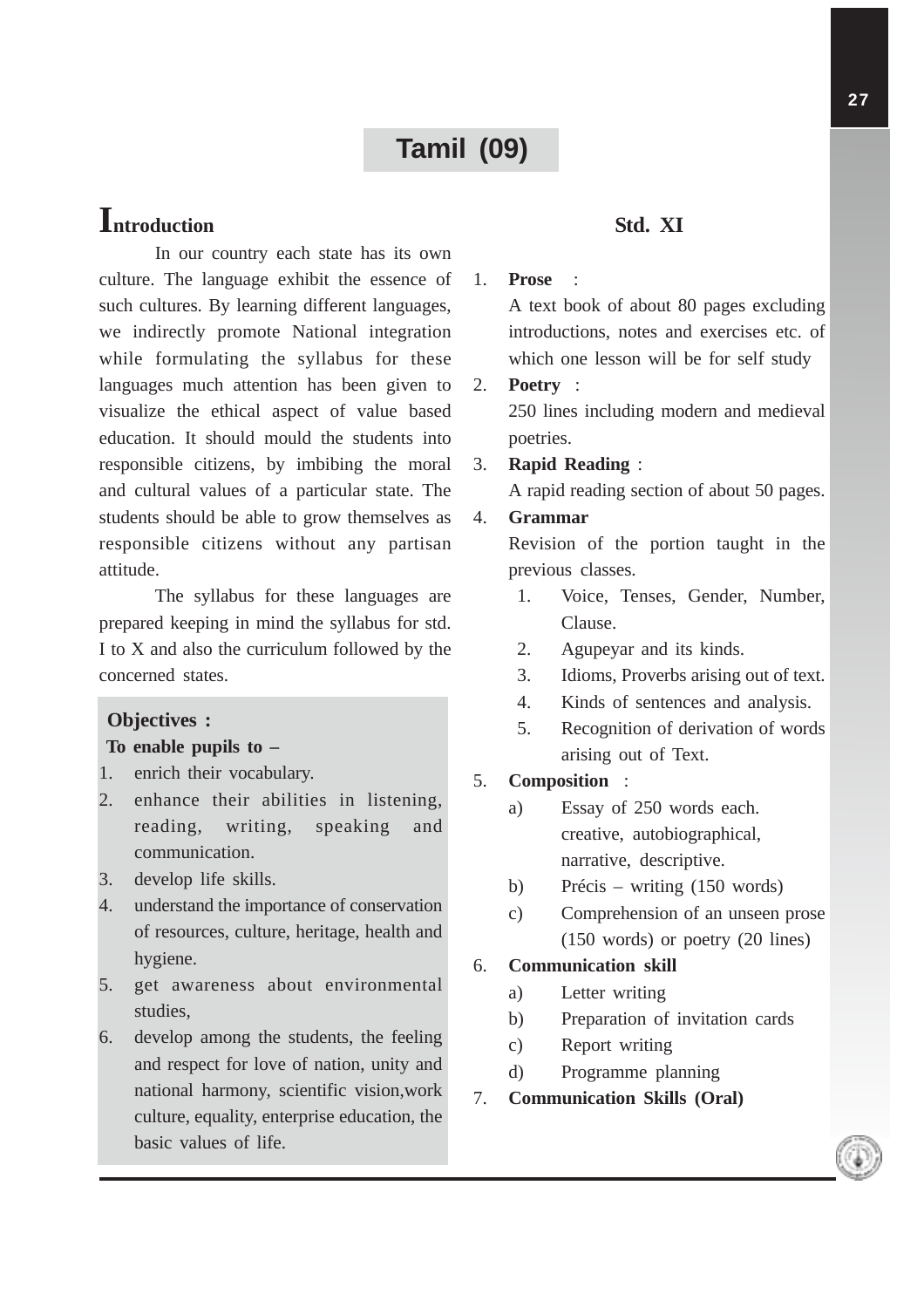# **Tamil (09)**

# **Introduction**

In our country each state has its own culture. The language exhibit the essence of such cultures. By learning different languages, we indirectly promote National integration while formulating the syllabus for these languages much attention has been given to visualize the ethical aspect of value based education. It should mould the students into responsible citizens, by imbibing the moral and cultural values of a particular state. The students should be able to grow themselves as responsible citizens without any partisan attitude.

The syllabus for these languages are prepared keeping in mind the syllabus for std. I to X and also the curriculum followed by the concerned states.

#### **Objectives :**

#### **To enable pupils to –**

- 1. enrich their vocabulary.
- 2. enhance their abilities in listening, reading, writing, speaking and communication.
- 3. develop life skills.
- 4. understand the importance of conservation of resources, culture, heritage, health and hygiene.
- 5. get awareness about environmental studies,
- 6. develop among the students, the feeling and respect for love of nation, unity and national harmony, scientific vision,work culture, equality, enterprise education, the basic values of life.

## **Std. XI**

#### 1. **Prose** :

A text book of about 80 pages excluding introductions, notes and exercises etc. of which one lesson will be for self study

2. **Poetry** : 250 lines including modern and medieval poetries.

## 3. **Rapid Reading** :

A rapid reading section of about 50 pages.

#### 4. **Grammar**

Revision of the portion taught in the previous classes.

- 1. Voice, Tenses, Gender, Number, Clause.
- 2. Agupeyar and its kinds.
- 3. Idioms, Proverbs arising out of text.
- 4. Kinds of sentences and analysis.
- 5. Recognition of derivation of words arising out of Text.
- 5. **Composition** :
	- a) Essay of 250 words each. creative, autobiographical, narrative, descriptive.
	- b) Précis writing (150 words)
	- c) Comprehension of an unseen prose (150 words) or poetry (20 lines)

## 6. **Communication skill**

- a) Letter writing
- b) Preparation of invitation cards
- c) Report writing
- d) Programme planning
- 7. **Communication Skills (Oral)**